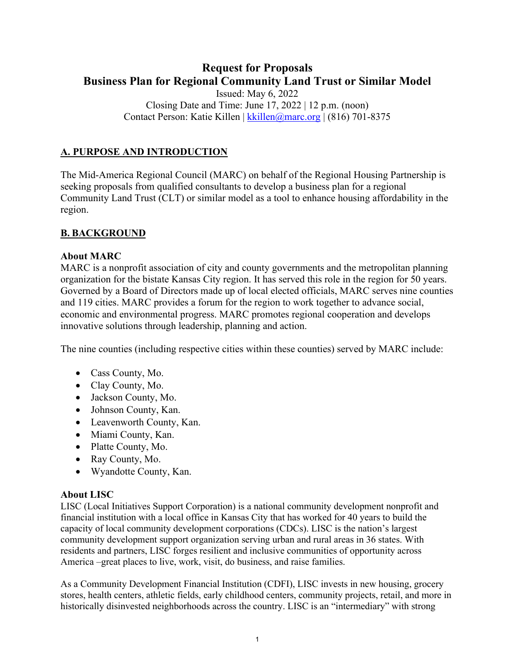# **Request for Proposals Business Plan for Regional Community Land Trust or Similar Model** Issued: May 6, 2022 Closing Date and Time: June  $17, 2022 \mid 12 \text{ p.m. (noon)}$

Contact Person: Katie Killen | [kkillen@marc.org](mailto:kkillen@marc.org) | (816) 701-8375

# **A. PURPOSE AND INTRODUCTION**

The Mid-America Regional Council (MARC) on behalf of the Regional Housing Partnership is seeking proposals from qualified consultants to develop a business plan for a regional Community Land Trust (CLT) or similar model as a tool to enhance housing affordability in the region.

## **B. BACKGROUND**

#### **About MARC**

MARC is a nonprofit association of city and county governments and the metropolitan planning organization for the bistate Kansas City region. It has served this role in the region for 50 years. Governed by a Board of Directors made up of local elected officials, MARC serves nine counties and 119 cities. MARC provides a forum for the region to work together to advance social, economic and environmental progress. MARC promotes regional cooperation and develops innovative solutions through leadership, planning and action.

The nine counties (including respective cities within these counties) served by MARC include:

- Cass County, Mo.
- Clay County, Mo.
- Jackson County, Mo.
- Johnson County, Kan.
- Leavenworth County, Kan.
- Miami County, Kan.
- Platte County, Mo.
- Ray County, Mo.
- Wyandotte County, Kan.

## **About LISC**

LISC (Local Initiatives Support Corporation) is a national community development nonprofit and financial institution with a local office in Kansas City that has worked for 40 years to build the capacity of local community development corporations (CDCs). LISC is the nation's largest community development support organization serving urban and rural areas in 36 states. With residents and partners, LISC forges resilient and inclusive communities of opportunity across America –great places to live, work, visit, do business, and raise families.

As a Community Development Financial Institution (CDFI), LISC invests in new housing, grocery stores, health centers, athletic fields, early childhood centers, community projects, retail, and more in historically disinvested neighborhoods across the country. LISC is an "intermediary" with strong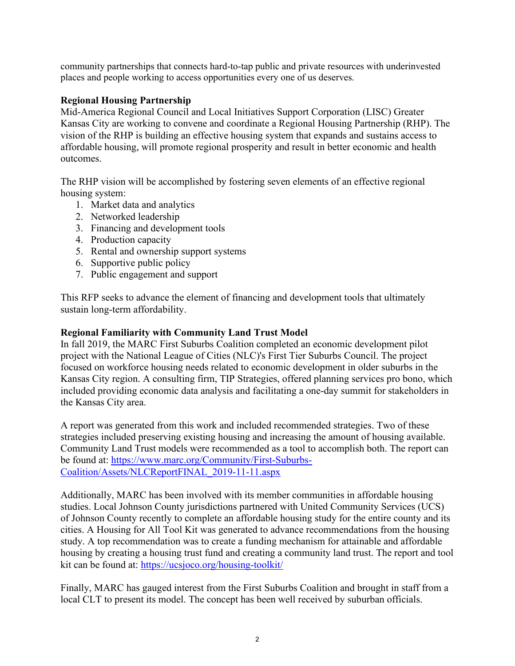community partnerships that connects hard-to-tap public and private resources with underinvested places and people working to access opportunities every one of us deserves.

## **Regional Housing Partnership**

Mid-America Regional Council and Local Initiatives Support Corporation (LISC) Greater Kansas City are working to convene and coordinate a Regional Housing Partnership (RHP). The vision of the RHP is building an effective housing system that expands and sustains access to affordable housing, will promote regional prosperity and result in better economic and health outcomes.

The RHP vision will be accomplished by fostering seven elements of an effective regional housing system:

- 1. Market data and analytics
- 2. Networked leadership
- 3. Financing and development tools
- 4. Production capacity
- 5. Rental and ownership support systems
- 6. Supportive public policy
- 7. Public engagement and support

This RFP seeks to advance the element of financing and development tools that ultimately sustain long-term affordability.

## **Regional Familiarity with Community Land Trust Model**

In fall 2019, the MARC First Suburbs Coalition completed an economic development pilot project with the National League of Cities [\(NLC\)'s First Tier Suburbs Council.](https://www.nlc.org/initiative/first-tier-suburbs-council/) The project focused on workforce housing needs related to economic development in older suburbs in the Kansas City region. A consulting firm, TIP Strategies, offered planning services pro bono, which included providing economic data analysis and facilitating a one-day summit for stakeholders in the Kansas City area.

A report was generated from this work and included recommended strategies. Two of these strategies included preserving existing housing and increasing the amount of housing available. Community Land Trust models were recommended as a tool to accomplish both. The report can be found at: [https://www.marc.org/Community/First-Suburbs-](https://www.marc.org/Community/First-Suburbs-Coalition/Assets/NLCReportFINAL_2019-11-11.aspx)[Coalition/Assets/NLCReportFINAL\\_2019-11-11.aspx](https://www.marc.org/Community/First-Suburbs-Coalition/Assets/NLCReportFINAL_2019-11-11.aspx)

Additionally, MARC has been involved with its member communities in affordable housing studies. Local Johnson County jurisdictions partnered with United Community Services (UCS) of Johnson County recently to complete an affordable housing study for the entire county and its cities. A Housing for All Tool Kit was generated to advance recommendations from the housing study. A top recommendation was to create a funding mechanism for attainable and affordable housing by creating a housing trust fund and creating a community land trust. The report and tool kit can be found at:<https://ucsjoco.org/housing-toolkit/>

Finally, MARC has gauged interest from the First Suburbs Coalition and brought in staff from a local CLT to present its model. The concept has been well received by suburban officials.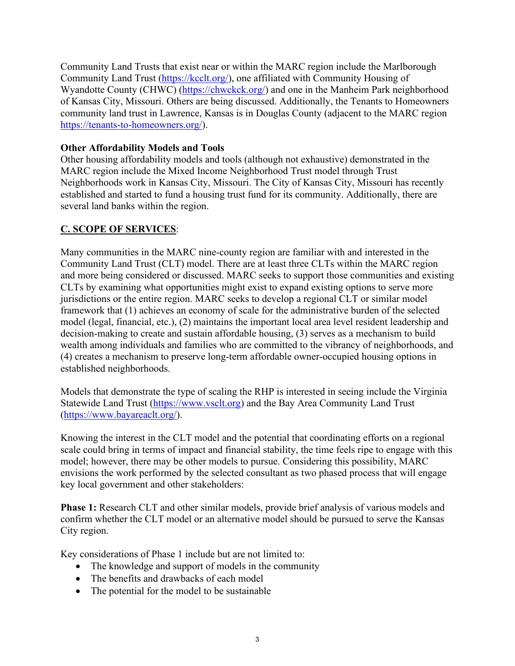Community Land Trusts that exist near or within the MARC region include the Marlborough Community Land Trust [\(https://kcclt.org/\)](https://kcclt.org/), one affiliated with Community Housing of Wyandotte County (CHWC) [\(https://chwckck.org/\)](https://chwckck.org/) and one in the Manheim Park neighborhood of Kansas City, Missouri. Others are being discussed. Additionally, the Tenants to Homeowners community land trust in Lawrence, Kansas is in Douglas County (adjacent to the MARC region [https://tenants-to-homeowners.org/\)](https://tenants-to-homeowners.org/).

## **Other Affordability Models and Tools**

Other housing affordability models and tools (although not exhaustive) demonstrated in the MARC region include the Mixed Income Neighborhood Trust model through Trust Neighborhoods work in Kansas City, Missouri. The City of Kansas City, Missouri has recently established and started to fund a housing trust fund for its community. Additionally, there are several land banks within the region.

# **C. SCOPE OF SERVICES**:

Many communities in the MARC nine-county region are familiar with and interested in the Community Land Trust (CLT) model. There are at least three CLTs within the MARC region and more being considered or discussed. MARC seeks to support those communities and existing CLTs by examining what opportunities might exist to expand existing options to serve more jurisdictions or the entire region. MARC seeks to develop a regional CLT or similar model framework that (1) achieves an economy of scale for the administrative burden of the selected model (legal, financial, etc.), (2) maintains the important local area level resident leadership and decision-making to create and sustain affordable housing, (3) serves as a mechanism to build wealth among individuals and families who are committed to the vibrancy of neighborhoods, and (4) creates a mechanism to preserve long-term affordable owner-occupied housing options in established neighborhoods.

Models that demonstrate the type of scaling the RHP is interested in seeing include the Virginia Statewide Land Trust [\(https://www.vsclt.org\)](https://www.vsclt.org/) and the Bay Area Community Land Trust [\(https://www.bayareaclt.org/\)](https://www.bayareaclt.org/).

Knowing the interest in the CLT model and the potential that coordinating efforts on a regional scale could bring in terms of impact and financial stability, the time feels ripe to engage with this model; however, there may be other models to pursue. Considering this possibility, MARC envisions the work performed by the selected consultant as two phased process that will engage key local government and other stakeholders:

**Phase 1:** Research CLT and other similar models, provide brief analysis of various models and confirm whether the CLT model or an alternative model should be pursued to serve the Kansas City region.

Key considerations of Phase 1 include but are not limited to:

- The knowledge and support of models in the community
- The benefits and drawbacks of each model
- The potential for the model to be sustainable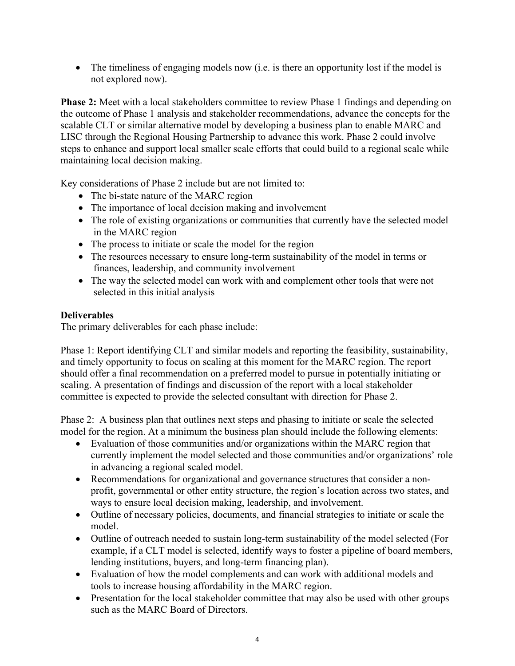• The timeliness of engaging models now (i.e. is there an opportunity lost if the model is not explored now).

**Phase 2:** Meet with a local stakeholders committee to review Phase 1 findings and depending on the outcome of Phase 1 analysis and stakeholder recommendations, advance the concepts for the scalable CLT or similar alternative model by developing a business plan to enable MARC and LISC through the Regional Housing Partnership to advance this work. Phase 2 could involve steps to enhance and support local smaller scale efforts that could build to a regional scale while maintaining local decision making.

Key considerations of Phase 2 include but are not limited to:

- The bi-state nature of the MARC region
- The importance of local decision making and involvement
- The role of existing organizations or communities that currently have the selected model in the MARC region
- The process to initiate or scale the model for the region
- The resources necessary to ensure long-term sustainability of the model in terms or finances, leadership, and community involvement
- The way the selected model can work with and complement other tools that were not selected in this initial analysis

# **Deliverables**

The primary deliverables for each phase include:

Phase 1: Report identifying CLT and similar models and reporting the feasibility, sustainability, and timely opportunity to focus on scaling at this moment for the MARC region. The report should offer a final recommendation on a preferred model to pursue in potentially initiating or scaling. A presentation of findings and discussion of the report with a local stakeholder committee is expected to provide the selected consultant with direction for Phase 2.

Phase 2: A business plan that outlines next steps and phasing to initiate or scale the selected model for the region. At a minimum the business plan should include the following elements:

- Evaluation of those communities and/or organizations within the MARC region that currently implement the model selected and those communities and/or organizations' role in advancing a regional scaled model.
- Recommendations for organizational and governance structures that consider a nonprofit, governmental or other entity structure, the region's location across two states, and ways to ensure local decision making, leadership, and involvement.
- Outline of necessary policies, documents, and financial strategies to initiate or scale the model.
- Outline of outreach needed to sustain long-term sustainability of the model selected (For example, if a CLT model is selected, identify ways to foster a pipeline of board members, lending institutions, buyers, and long-term financing plan).
- Evaluation of how the model complements and can work with additional models and tools to increase housing affordability in the MARC region.
- Presentation for the local stakeholder committee that may also be used with other groups such as the MARC Board of Directors.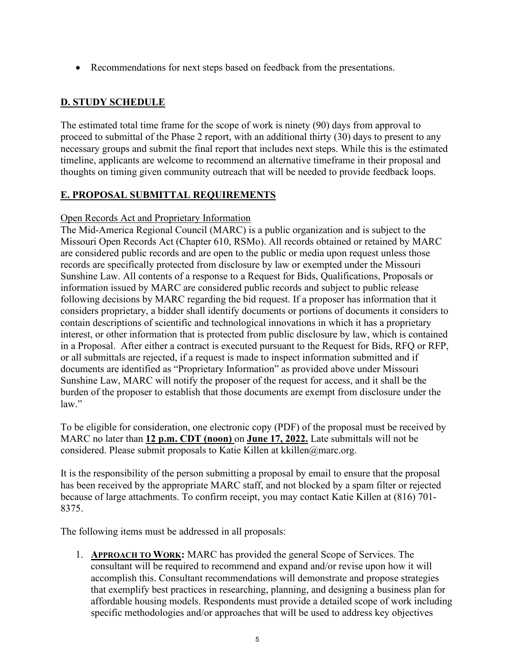• Recommendations for next steps based on feedback from the presentations.

# **D. STUDY SCHEDULE**

The estimated total time frame for the scope of work is ninety (90) days from approval to proceed to submittal of the Phase 2 report, with an additional thirty (30) days to present to any necessary groups and submit the final report that includes next steps. While this is the estimated timeline, applicants are welcome to recommend an alternative timeframe in their proposal and thoughts on timing given community outreach that will be needed to provide feedback loops.

# **E. PROPOSAL SUBMITTAL REQUIREMENTS**

## Open Records Act and Proprietary Information

The Mid-America Regional Council (MARC) is a public organization and is subject to the Missouri Open Records Act (Chapter 610, RSMo). All records obtained or retained by MARC are considered public records and are open to the public or media upon request unless those records are specifically protected from disclosure by law or exempted under the Missouri Sunshine Law. All contents of a response to a Request for Bids, Qualifications, Proposals or information issued by MARC are considered public records and subject to public release following decisions by MARC regarding the bid request. If a proposer has information that it considers proprietary, a bidder shall identify documents or portions of documents it considers to contain descriptions of scientific and technological innovations in which it has a proprietary interest, or other information that is protected from public disclosure by law, which is contained in a Proposal. After either a contract is executed pursuant to the Request for Bids, RFQ or RFP, or all submittals are rejected, if a request is made to inspect information submitted and if documents are identified as "Proprietary Information" as provided above under Missouri Sunshine Law, MARC will notify the proposer of the request for access, and it shall be the burden of the proposer to establish that those documents are exempt from disclosure under the law."

To be eligible for consideration, one electronic copy (PDF) of the proposal must be received by MARC no later than **12 p.m. CDT (noon)** on **June 17, 2022.** Late submittals will not be considered. Please submit proposals to Katie Killen at kkillen@marc.org.

It is the responsibility of the person submitting a proposal by email to ensure that the proposal has been received by the appropriate MARC staff, and not blocked by a spam filter or rejected because of large attachments. To confirm receipt, you may contact Katie Killen at (816) 701- 8375.

The following items must be addressed in all proposals:

1. **APPROACH TO WORK:** MARC has provided the general Scope of Services. The consultant will be required to recommend and expand and/or revise upon how it will accomplish this. Consultant recommendations will demonstrate and propose strategies that exemplify best practices in researching, planning, and designing a business plan for affordable housing models. Respondents must provide a detailed scope of work including specific methodologies and/or approaches that will be used to address key objectives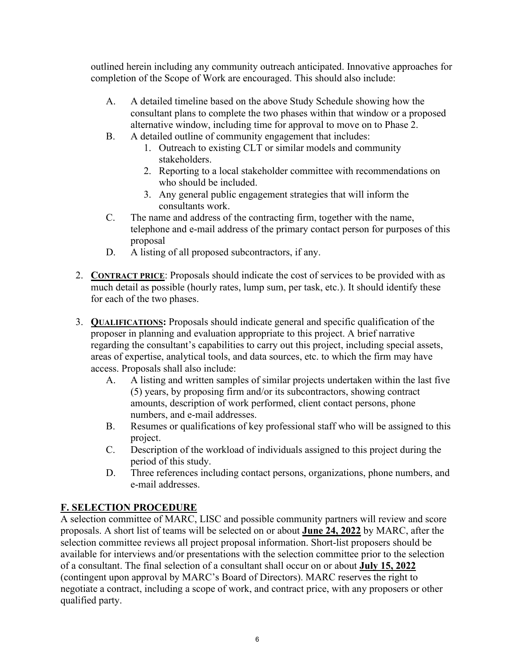outlined herein including any community outreach anticipated. Innovative approaches for completion of the Scope of Work are encouraged. This should also include:

- A. A detailed timeline based on the above Study Schedule showing how the consultant plans to complete the two phases within that window or a proposed alternative window, including time for approval to move on to Phase 2.
- B. A detailed outline of community engagement that includes:
	- 1. Outreach to existing CLT or similar models and community stakeholders.
	- 2. Reporting to a local stakeholder committee with recommendations on who should be included.
	- 3. Any general public engagement strategies that will inform the consultants work.
- C. The name and address of the contracting firm, together with the name, telephone and e-mail address of the primary contact person for purposes of this proposal
- D. A listing of all proposed subcontractors, if any.
- 2. **CONTRACT PRICE**: Proposals should indicate the cost of services to be provided with as much detail as possible (hourly rates, lump sum, per task, etc.). It should identify these for each of the two phases.
- 3. **QUALIFICATIONS:** Proposals should indicate general and specific qualification of the proposer in planning and evaluation appropriate to this project. A brief narrative regarding the consultant's capabilities to carry out this project, including special assets, areas of expertise, analytical tools, and data sources, etc. to which the firm may have access. Proposals shall also include:
	- A. A listing and written samples of similar projects undertaken within the last five (5) years, by proposing firm and/or its subcontractors, showing contract amounts, description of work performed, client contact persons, phone numbers, and e-mail addresses.
	- B. Resumes or qualifications of key professional staff who will be assigned to this project.
	- C. Description of the workload of individuals assigned to this project during the period of this study.
	- D. Three references including contact persons, organizations, phone numbers, and e-mail addresses.

# **F. SELECTION PROCEDURE**

A selection committee of MARC, LISC and possible community partners will review and score proposals. A short list of teams will be selected on or about **June 24, 2022** by MARC, after the selection committee reviews all project proposal information. Short-list proposers should be available for interviews and/or presentations with the selection committee prior to the selection of a consultant. The final selection of a consultant shall occur on or about **July 15, 2022** (contingent upon approval by MARC's Board of Directors). MARC reserves the right to negotiate a contract, including a scope of work, and contract price, with any proposers or other qualified party.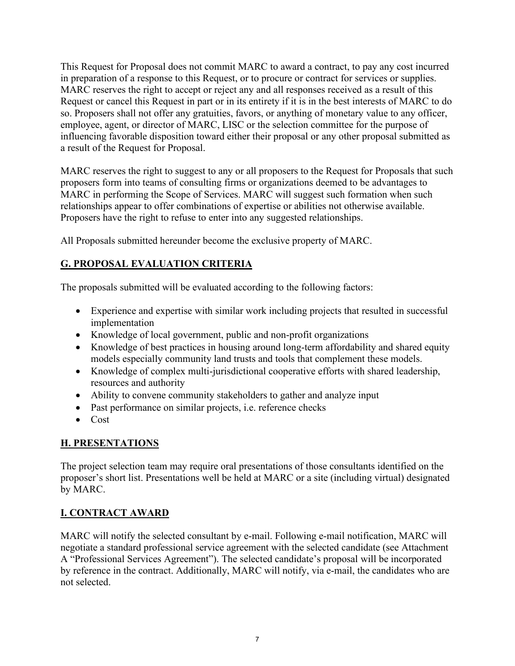This Request for Proposal does not commit MARC to award a contract, to pay any cost incurred in preparation of a response to this Request, or to procure or contract for services or supplies. MARC reserves the right to accept or reject any and all responses received as a result of this Request or cancel this Request in part or in its entirety if it is in the best interests of MARC to do so. Proposers shall not offer any gratuities, favors, or anything of monetary value to any officer, employee, agent, or director of MARC, LISC or the selection committee for the purpose of influencing favorable disposition toward either their proposal or any other proposal submitted as a result of the Request for Proposal.

MARC reserves the right to suggest to any or all proposers to the Request for Proposals that such proposers form into teams of consulting firms or organizations deemed to be advantages to MARC in performing the Scope of Services. MARC will suggest such formation when such relationships appear to offer combinations of expertise or abilities not otherwise available. Proposers have the right to refuse to enter into any suggested relationships.

All Proposals submitted hereunder become the exclusive property of MARC.

# **G. PROPOSAL EVALUATION CRITERIA**

The proposals submitted will be evaluated according to the following factors:

- Experience and expertise with similar work including projects that resulted in successful implementation
- Knowledge of local government, public and non-profit organizations
- Knowledge of best practices in housing around long-term affordability and shared equity models especially community land trusts and tools that complement these models.
- Knowledge of complex multi-jurisdictional cooperative efforts with shared leadership, resources and authority
- Ability to convene community stakeholders to gather and analyze input
- Past performance on similar projects, i.e. reference checks
- Cost

# **H. PRESENTATIONS**

The project selection team may require oral presentations of those consultants identified on the proposer's short list. Presentations well be held at MARC or a site (including virtual) designated by MARC.

# **I. CONTRACT AWARD**

MARC will notify the selected consultant by e-mail. Following e-mail notification, MARC will negotiate a standard professional service agreement with the selected candidate (see Attachment A "Professional Services Agreement"). The selected candidate's proposal will be incorporated by reference in the contract. Additionally, MARC will notify, via e-mail, the candidates who are not selected.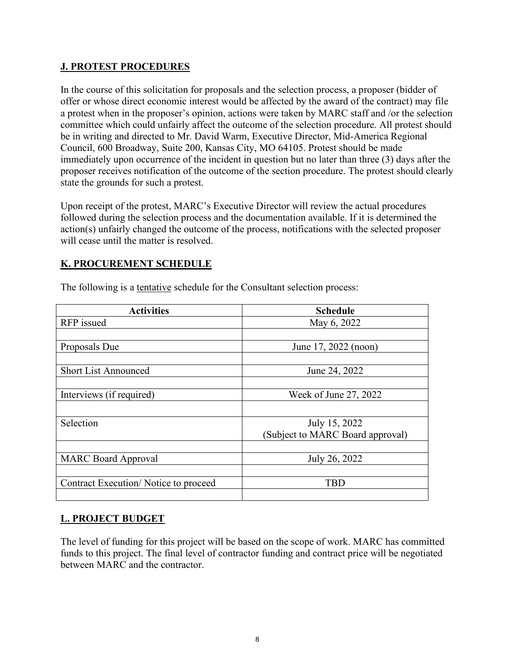### **J. PROTEST PROCEDURES**

In the course of this solicitation for proposals and the selection process, a proposer (bidder of offer or whose direct economic interest would be affected by the award of the contract) may file a protest when in the proposer's opinion, actions were taken by MARC staff and /or the selection committee which could unfairly affect the outcome of the selection procedure. All protest should be in writing and directed to Mr. David Warm, Executive Director, Mid-America Regional Council, 600 Broadway, Suite 200, Kansas City, MO 64105. Protest should be made immediately upon occurrence of the incident in question but no later than three (3) days after the proposer receives notification of the outcome of the section procedure. The protest should clearly state the grounds for such a protest.

Upon receipt of the protest, MARC's Executive Director will review the actual procedures followed during the selection process and the documentation available. If it is determined the action(s) unfairly changed the outcome of the process, notifications with the selected proposer will cease until the matter is resolved.

## **K. PROCUREMENT SCHEDULE**

| <b>Activities</b>                    | <b>Schedule</b>                  |
|--------------------------------------|----------------------------------|
| RFP issued                           | May 6, 2022                      |
|                                      |                                  |
| Proposals Due                        | June 17, 2022 (noon)             |
|                                      |                                  |
| <b>Short List Announced</b>          | June 24, 2022                    |
|                                      |                                  |
| Interviews (if required)             | Week of June 27, 2022            |
|                                      |                                  |
| Selection                            | July 15, 2022                    |
|                                      | (Subject to MARC Board approval) |
|                                      |                                  |
| <b>MARC Board Approval</b>           | July 26, 2022                    |
|                                      |                                  |
| Contract Execution/Notice to proceed | TBD                              |
|                                      |                                  |

The following is a tentative schedule for the Consultant selection process:

# **L. PROJECT BUDGET**

The level of funding for this project will be based on the scope of work. MARC has committed funds to this project. The final level of contractor funding and contract price will be negotiated between MARC and the contractor.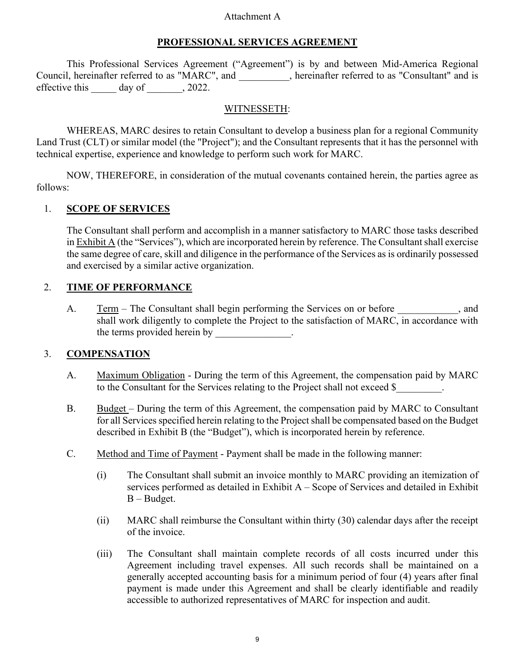#### Attachment A

#### **PROFESSIONAL SERVICES AGREEMENT**

This Professional Services Agreement ("Agreement") is by and between Mid-America Regional Council, hereinafter referred to as "MARC", and  $\qquad \qquad$ , hereinafter referred to as "Consultant" and is effective this day of , 2022.

#### WITNESSETH:

WHEREAS, MARC desires to retain Consultant to develop a business plan for a regional Community Land Trust (CLT) or similar model (the "Project"); and the Consultant represents that it has the personnel with technical expertise, experience and knowledge to perform such work for MARC.

NOW, THEREFORE, in consideration of the mutual covenants contained herein, the parties agree as follows:

#### 1. **SCOPE OF SERVICES**

The Consultant shall perform and accomplish in a manner satisfactory to MARC those tasks described in Exhibit A (the "Services"), which are incorporated herein by reference. The Consultant shall exercise the same degree of care, skill and diligence in the performance of the Services as is ordinarily possessed and exercised by a similar active organization.

## 2. **TIME OF PERFORMANCE**

A. Term – The Consultant shall begin performing the Services on or before  $\blacksquare$ , and shall work diligently to complete the Project to the satisfaction of MARC, in accordance with the terms provided herein by \_\_\_\_\_\_\_\_\_\_\_\_\_\_.

## 3. **COMPENSATION**

- A. Maximum Obligation During the term of this Agreement, the compensation paid by MARC to the Consultant for the Services relating to the Project shall not exceed \$
- B. Budget During the term of this Agreement, the compensation paid by MARC to Consultant for all Services specified herein relating to the Project shall be compensated based on the Budget described in Exhibit B (the "Budget"), which is incorporated herein by reference.
- C. Method and Time of Payment Payment shall be made in the following manner:
	- (i) The Consultant shall submit an invoice monthly to MARC providing an itemization of services performed as detailed in Exhibit A – Scope of Services and detailed in Exhibit B – Budget.
	- (ii) MARC shall reimburse the Consultant within thirty (30) calendar days after the receipt of the invoice.
	- (iii) The Consultant shall maintain complete records of all costs incurred under this Agreement including travel expenses. All such records shall be maintained on a generally accepted accounting basis for a minimum period of four (4) years after final payment is made under this Agreement and shall be clearly identifiable and readily accessible to authorized representatives of MARC for inspection and audit.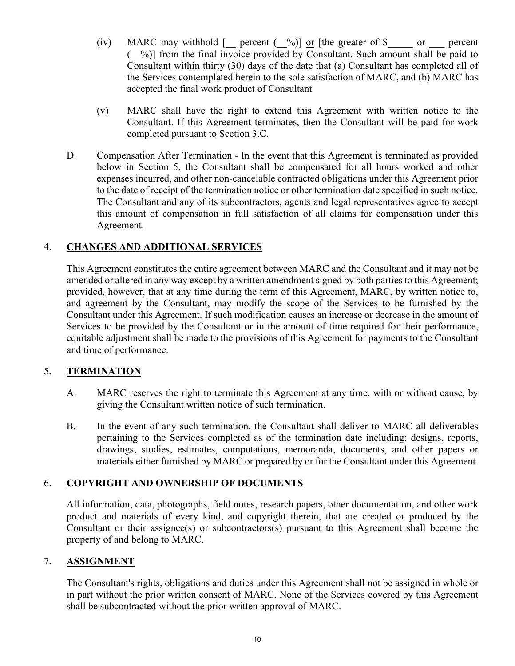- (iv) MARC may withhold  $\lceil \cdot \rceil$  percent ( $\frac{9}{0}$ ) or  $\lceil \cdot \rceil$  the greater of \$  $\lceil \cdot \rceil$  or  $\lceil \cdot \rceil$  percent (\_\_%)] from the final invoice provided by Consultant. Such amount shall be paid to Consultant within thirty (30) days of the date that (a) Consultant has completed all of the Services contemplated herein to the sole satisfaction of MARC, and (b) MARC has accepted the final work product of Consultant
- (v) MARC shall have the right to extend this Agreement with written notice to the Consultant. If this Agreement terminates, then the Consultant will be paid for work completed pursuant to Section 3.C.
- D. Compensation After Termination In the event that this Agreement is terminated as provided below in Section 5, the Consultant shall be compensated for all hours worked and other expenses incurred, and other non-cancelable contracted obligations under this Agreement prior to the date of receipt of the termination notice or other termination date specified in such notice. The Consultant and any of its subcontractors, agents and legal representatives agree to accept this amount of compensation in full satisfaction of all claims for compensation under this Agreement.

## 4. **CHANGES AND ADDITIONAL SERVICES**

This Agreement constitutes the entire agreement between MARC and the Consultant and it may not be amended or altered in any way except by a written amendment signed by both parties to this Agreement; provided, however, that at any time during the term of this Agreement, MARC, by written notice to, and agreement by the Consultant, may modify the scope of the Services to be furnished by the Consultant under this Agreement. If such modification causes an increase or decrease in the amount of Services to be provided by the Consultant or in the amount of time required for their performance, equitable adjustment shall be made to the provisions of this Agreement for payments to the Consultant and time of performance.

## 5. **TERMINATION**

- A. MARC reserves the right to terminate this Agreement at any time, with or without cause, by giving the Consultant written notice of such termination.
- B. In the event of any such termination, the Consultant shall deliver to MARC all deliverables pertaining to the Services completed as of the termination date including: designs, reports, drawings, studies, estimates, computations, memoranda, documents, and other papers or materials either furnished by MARC or prepared by or for the Consultant under this Agreement.

## 6. **COPYRIGHT AND OWNERSHIP OF DOCUMENTS**

All information, data, photographs, field notes, research papers, other documentation, and other work product and materials of every kind, and copyright therein, that are created or produced by the Consultant or their assignee(s) or subcontractors(s) pursuant to this Agreement shall become the property of and belong to MARC.

#### 7. **ASSIGNMENT**

The Consultant's rights, obligations and duties under this Agreement shall not be assigned in whole or in part without the prior written consent of MARC. None of the Services covered by this Agreement shall be subcontracted without the prior written approval of MARC.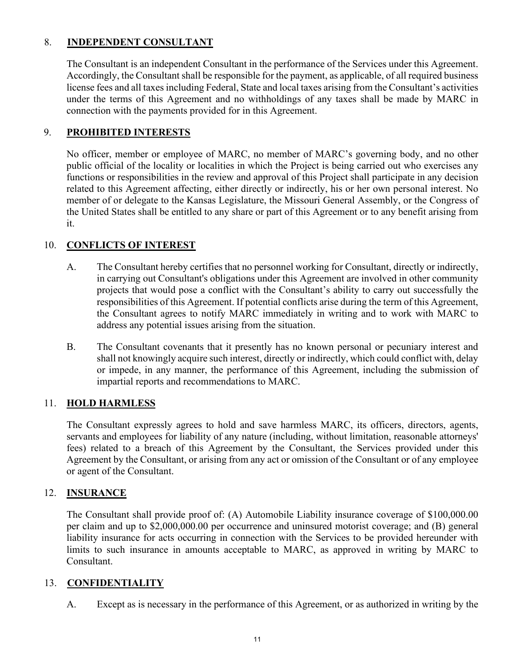## 8. **INDEPENDENT CONSULTANT**

The Consultant is an independent Consultant in the performance of the Services under this Agreement. Accordingly, the Consultant shall be responsible for the payment, as applicable, of all required business license fees and all taxes including Federal, State and local taxes arising from the Consultant's activities under the terms of this Agreement and no withholdings of any taxes shall be made by MARC in connection with the payments provided for in this Agreement.

## 9. **PROHIBITED INTERESTS**

No officer, member or employee of MARC, no member of MARC's governing body, and no other public official of the locality or localities in which the Project is being carried out who exercises any functions or responsibilities in the review and approval of this Project shall participate in any decision related to this Agreement affecting, either directly or indirectly, his or her own personal interest. No member of or delegate to the Kansas Legislature, the Missouri General Assembly, or the Congress of the United States shall be entitled to any share or part of this Agreement or to any benefit arising from it.

# 10. **CONFLICTS OF INTEREST**

- A. The Consultant hereby certifies that no personnel working for Consultant, directly or indirectly, in carrying out Consultant's obligations under this Agreement are involved in other community projects that would pose a conflict with the Consultant's ability to carry out successfully the responsibilities of this Agreement. If potential conflicts arise during the term of this Agreement, the Consultant agrees to notify MARC immediately in writing and to work with MARC to address any potential issues arising from the situation.
- B. The Consultant covenants that it presently has no known personal or pecuniary interest and shall not knowingly acquire such interest, directly or indirectly, which could conflict with, delay or impede, in any manner, the performance of this Agreement, including the submission of impartial reports and recommendations to MARC.

## 11. **HOLD HARMLESS**

The Consultant expressly agrees to hold and save harmless MARC, its officers, directors, agents, servants and employees for liability of any nature (including, without limitation, reasonable attorneys' fees) related to a breach of this Agreement by the Consultant, the Services provided under this Agreement by the Consultant, or arising from any act or omission of the Consultant or of any employee or agent of the Consultant.

#### 12. **INSURANCE**

The Consultant shall provide proof of: (A) Automobile Liability insurance coverage of \$100,000.00 per claim and up to \$2,000,000.00 per occurrence and uninsured motorist coverage; and (B) general liability insurance for acts occurring in connection with the Services to be provided hereunder with limits to such insurance in amounts acceptable to MARC, as approved in writing by MARC to Consultant.

#### 13. **CONFIDENTIALITY**

A. Except as is necessary in the performance of this Agreement, or as authorized in writing by the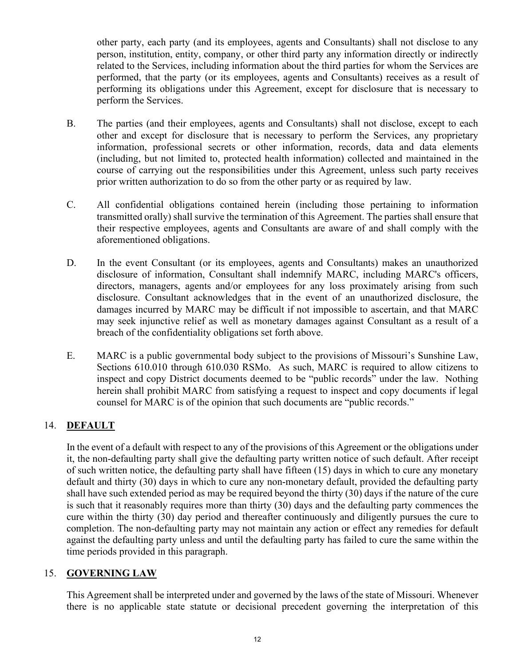other party, each party (and its employees, agents and Consultants) shall not disclose to any person, institution, entity, company, or other third party any information directly or indirectly related to the Services, including information about the third parties for whom the Services are performed, that the party (or its employees, agents and Consultants) receives as a result of performing its obligations under this Agreement, except for disclosure that is necessary to perform the Services.

- B. The parties (and their employees, agents and Consultants) shall not disclose, except to each other and except for disclosure that is necessary to perform the Services, any proprietary information, professional secrets or other information, records, data and data elements (including, but not limited to, protected health information) collected and maintained in the course of carrying out the responsibilities under this Agreement, unless such party receives prior written authorization to do so from the other party or as required by law.
- C. All confidential obligations contained herein (including those pertaining to information transmitted orally) shall survive the termination of this Agreement. The parties shall ensure that their respective employees, agents and Consultants are aware of and shall comply with the aforementioned obligations.
- D. In the event Consultant (or its employees, agents and Consultants) makes an unauthorized disclosure of information, Consultant shall indemnify MARC, including MARC's officers, directors, managers, agents and/or employees for any loss proximately arising from such disclosure. Consultant acknowledges that in the event of an unauthorized disclosure, the damages incurred by MARC may be difficult if not impossible to ascertain, and that MARC may seek injunctive relief as well as monetary damages against Consultant as a result of a breach of the confidentiality obligations set forth above.
- E. MARC is a public governmental body subject to the provisions of Missouri's Sunshine Law, Sections 610.010 through 610.030 RSMo. As such, MARC is required to allow citizens to inspect and copy District documents deemed to be "public records" under the law. Nothing herein shall prohibit MARC from satisfying a request to inspect and copy documents if legal counsel for MARC is of the opinion that such documents are "public records."

# 14. **DEFAULT**

In the event of a default with respect to any of the provisions of this Agreement or the obligations under it, the non-defaulting party shall give the defaulting party written notice of such default. After receipt of such written notice, the defaulting party shall have fifteen (15) days in which to cure any monetary default and thirty (30) days in which to cure any non-monetary default, provided the defaulting party shall have such extended period as may be required beyond the thirty (30) days if the nature of the cure is such that it reasonably requires more than thirty (30) days and the defaulting party commences the cure within the thirty (30) day period and thereafter continuously and diligently pursues the cure to completion. The non-defaulting party may not maintain any action or effect any remedies for default against the defaulting party unless and until the defaulting party has failed to cure the same within the time periods provided in this paragraph.

## 15. **GOVERNING LAW**

This Agreement shall be interpreted under and governed by the laws of the state of Missouri. Whenever there is no applicable state statute or decisional precedent governing the interpretation of this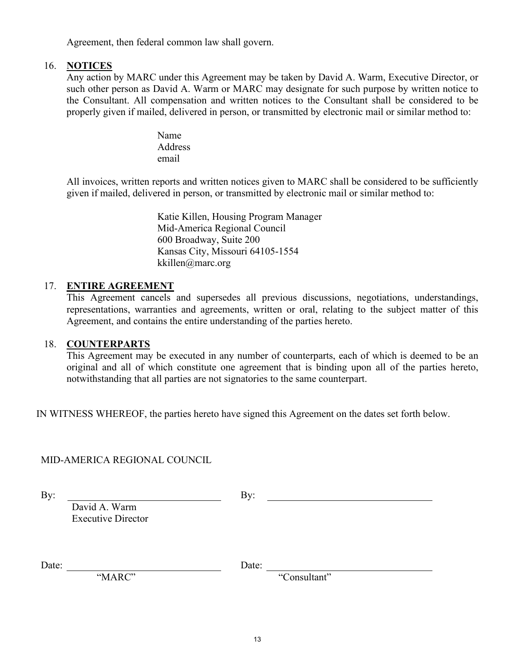Agreement, then federal common law shall govern.

#### 16. **NOTICES**

Any action by MARC under this Agreement may be taken by David A. Warm, Executive Director, or such other person as David A. Warm or MARC may designate for such purpose by written notice to the Consultant. All compensation and written notices to the Consultant shall be considered to be properly given if mailed, delivered in person, or transmitted by electronic mail or similar method to:

> Name **Address** email

All invoices, written reports and written notices given to MARC shall be considered to be sufficiently given if mailed, delivered in person, or transmitted by electronic mail or similar method to:

> Katie Killen, Housing Program Manager Mid-America Regional Council 600 Broadway, Suite 200 Kansas City, Missouri 64105-1554 kkillen@marc.org

#### 17. **ENTIRE AGREEMENT**

This Agreement cancels and supersedes all previous discussions, negotiations, understandings, representations, warranties and agreements, written or oral, relating to the subject matter of this Agreement, and contains the entire understanding of the parties hereto.

#### 18. **COUNTERPARTS**

This Agreement may be executed in any number of counterparts, each of which is deemed to be an original and all of which constitute one agreement that is binding upon all of the parties hereto, notwithstanding that all parties are not signatories to the same counterpart.

IN WITNESS WHEREOF, the parties hereto have signed this Agreement on the dates set forth below.

## MID-AMERICA REGIONAL COUNCIL

By: By:

David A. Warm Executive Director

Date: Date:

"MARC" "Consultant"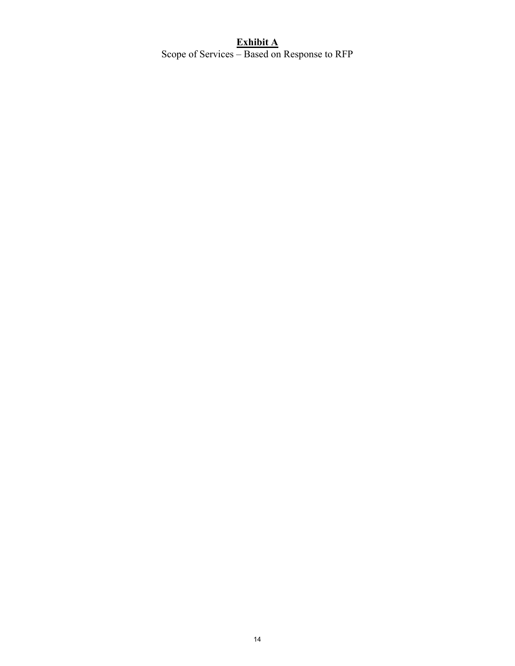# **Exhibit A** Scope of Services – Based on Response to RFP